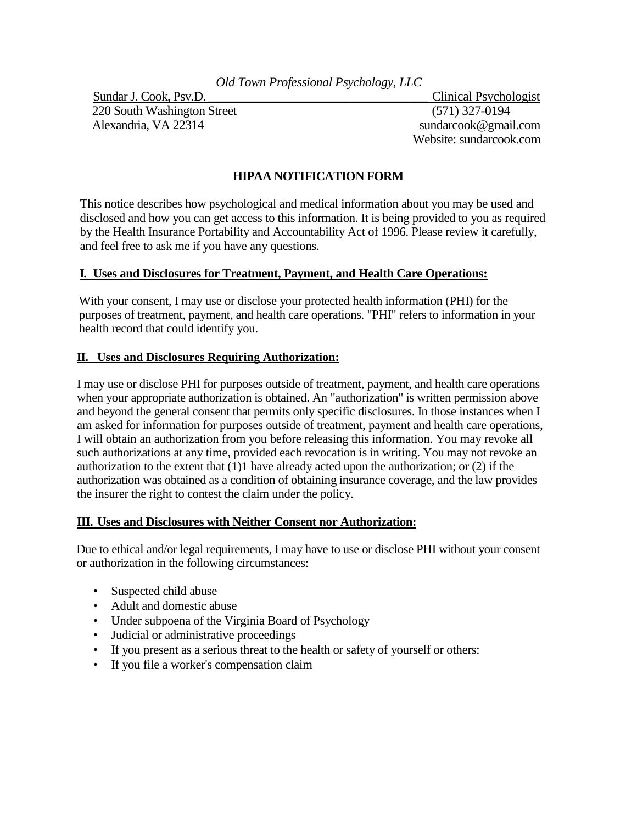220 South Washington Street (571) 327-0194 Alexandria, VA 22314 sundarcook@gmail.com

Sundar J. Cook, Psv.D. \_\_\_\_\_\_\_\_\_\_\_\_\_\_\_\_\_\_\_\_\_\_\_\_\_\_\_\_\_\_\_\_\_\_ Clinical Psychologist Website: sundarcook.com

## **HIPAA NOTIFICATION FORM**

This notice describes how psychological and medical information about you may be used and disclosed and how you can get access to this information. It is being provided to you as required by the Health Insurance Portability and Accountability Act of 1996. Please review it carefully, and feel free to ask me if you have any questions.

### **I. Uses and Disclosures for Treatment, Payment, and Health Care Operations:**

With your consent, I may use or disclose your protected health information (PHI) for the purposes of treatment, payment, and health care operations. "PHI" refers to information in your health record that could identify you.

#### **II. Uses and Disclosures Requiring Authorization:**

I may use or disclose PHI for purposes outside of treatment, payment, and health care operations when your appropriate authorization is obtained. An "authorization" is written permission above and beyond the general consent that permits only specific disclosures. In those instances when I am asked for information for purposes outside of treatment, payment and health care operations, I will obtain an authorization from you before releasing this information. You may revoke all such authorizations at any time, provided each revocation is in writing. You may not revoke an authorization to the extent that (1)1 have already acted upon the authorization; or (2) if the authorization was obtained as a condition of obtaining insurance coverage, and the law provides the insurer the right to contest the claim under the policy.

#### **III. Uses and Disclosures with Neither Consent nor Authorization:**

Due to ethical and/or legal requirements, I may have to use or disclose PHI without your consent or authorization in the following circumstances:

- Suspected child abuse
- Adult and domestic abuse
- Under subpoena of the Virginia Board of Psychology
- Judicial or administrative proceedings
- If you present as a serious threat to the health or safety of yourself or others:
- If you file a worker's compensation claim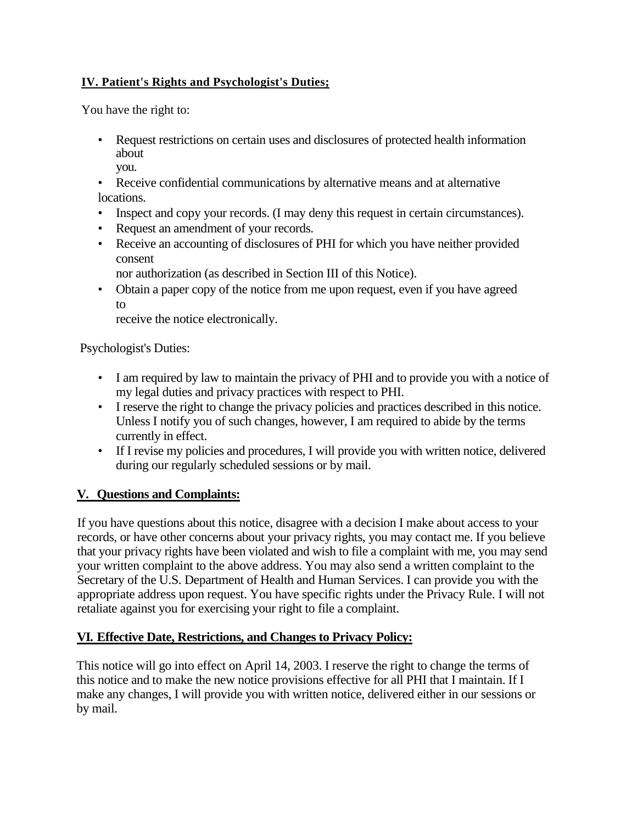## **IV. Patient's Rights and Psychologist's Duties;**

You have the right to:

- Request restrictions on certain uses and disclosures of protected health information about you.
- Receive confidential communications by alternative means and at alternative locations.
- Inspect and copy your records. (I may deny this request in certain circumstances).
- Request an amendment of your records.
- Receive an accounting of disclosures of PHI for which you have neither provided consent

nor authorization (as described in Section III of this Notice).

• Obtain a paper copy of the notice from me upon request, even if you have agreed to

receive the notice electronically.

Psychologist's Duties:

- I am required by law to maintain the privacy of PHI and to provide you with a notice of my legal duties and privacy practices with respect to PHI.
- I reserve the right to change the privacy policies and practices described in this notice. Unless I notify you of such changes, however, I am required to abide by the terms currently in effect.
- If I revise my policies and procedures, I will provide you with written notice, delivered during our regularly scheduled sessions or by mail.

# **V. Questions and Complaints:**

If you have questions about this notice, disagree with a decision I make about access to your records, or have other concerns about your privacy rights, you may contact me. If you believe that your privacy rights have been violated and wish to file a complaint with me, you may send your written complaint to the above address. You may also send a written complaint to the Secretary of the U.S. Department of Health and Human Services. I can provide you with the appropriate address upon request. You have specific rights under the Privacy Rule. I will not retaliate against you for exercising your right to file a complaint.

# **VI. Effective Date, Restrictions, and Changes to Privacy Policy:**

This notice will go into effect on April 14, 2003. I reserve the right to change the terms of this notice and to make the new notice provisions effective for all PHI that I maintain. If I make any changes, I will provide you with written notice, delivered either in our sessions or by mail.